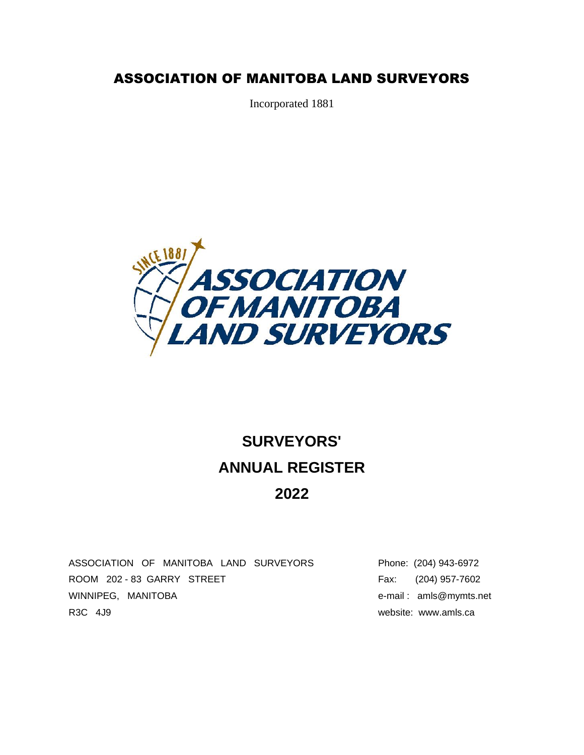### ASSOCIATION OF MANITOBA LAND SURVEYORS

Incorporated 1881



# **SURVEYORS' ANNUAL REGISTER 2022**

ASSOCIATION OF MANITOBA LAND SURVEYORS Phone: (204) 943-6972 ROOM 202 - 83 GARRY STREET FAX: (204) 957-7602 WINNIPEG, MANITOBA e-mail: amls@mymts.net R3C 4J9 website: www.amls.ca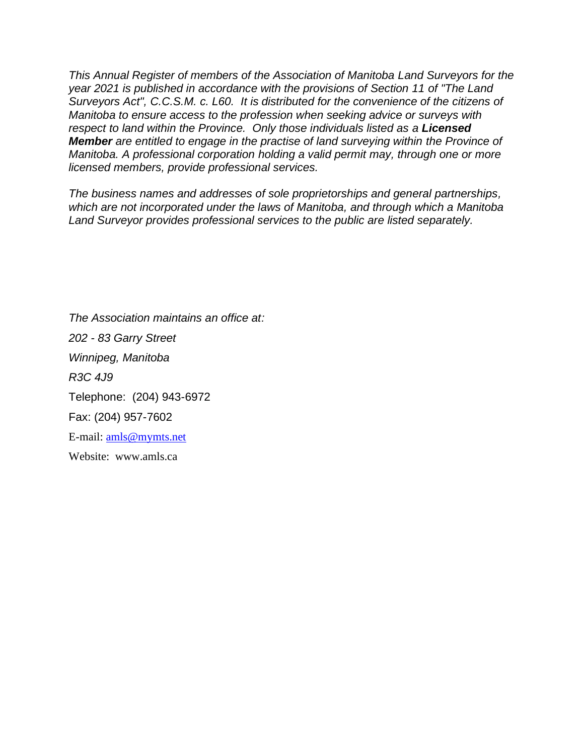*This Annual Register of members of the Association of Manitoba Land Surveyors for the year 2021 is published in accordance with the provisions of Section 11 of "The Land Surveyors Act", C.C.S.M. c. L60. It is distributed for the convenience of the citizens of Manitoba to ensure access to the profession when seeking advice or surveys with respect to land within the Province. Only those individuals listed as a Licensed Member are entitled to engage in the practise of land surveying within the Province of Manitoba. A professional corporation holding a valid permit may, through one or more licensed members, provide professional services.*

*The business names and addresses of sole proprietorships and general partnerships, which are not incorporated under the laws of Manitoba, and through which a Manitoba Land Surveyor provides professional services to the public are listed separately.* 

*The Association maintains an office at: 202 - 83 Garry Street Winnipeg, Manitoba R3C 4J9* Telephone: (204) 943-6972 Fax: (204) 957-7602 E-mail: [amls@mymts.net](mailto:amls@mymts.net) Website: [www.amls.ca](http://www.amls.ca/)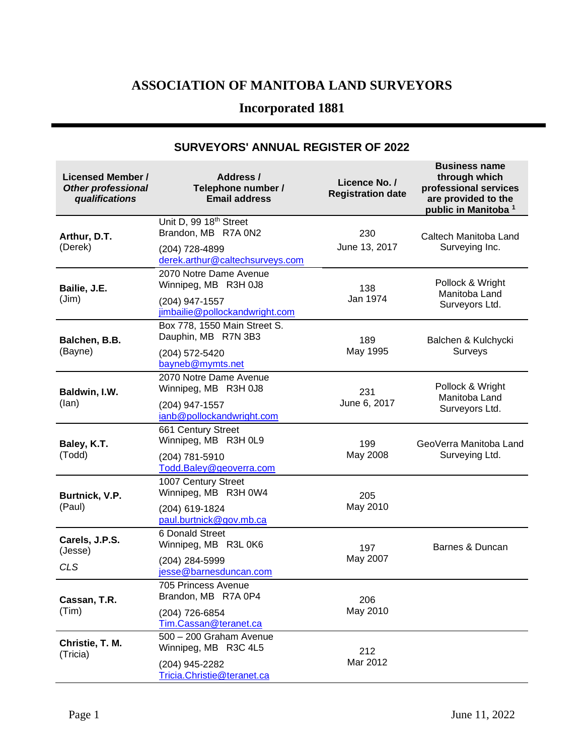### **ASSOCIATION OF MANITOBA LAND SURVEYORS**

## **Incorporated 1881**

| <b>Licensed Member /</b><br><b>Other professional</b><br>qualifications | Address /<br>Telephone number /<br><b>Email address</b>                                                        | Licence No. /<br><b>Registration date</b> | <b>Business name</b><br>through which<br>professional services<br>are provided to the<br>public in Manitoba <sup>1</sup> |
|-------------------------------------------------------------------------|----------------------------------------------------------------------------------------------------------------|-------------------------------------------|--------------------------------------------------------------------------------------------------------------------------|
| Arthur, D.T.<br>(Derek)                                                 | Unit D, 99 18 <sup>th</sup> Street<br>Brandon, MB R7A 0N2<br>(204) 728-4899<br>derek.arthur@caltechsurveys.com | 230<br>June 13, 2017                      | Caltech Manitoba Land<br>Surveying Inc.                                                                                  |
| Bailie, J.E.<br>(Jim)                                                   | 2070 Notre Dame Avenue<br>Winnipeg, MB R3H 0J8<br>(204) 947-1557<br>jimbailie@pollockandwright.com             | 138<br>Jan 1974                           | Pollock & Wright<br>Manitoba Land<br>Surveyors Ltd.                                                                      |
| Balchen, B.B.<br>(Bayne)                                                | Box 778, 1550 Main Street S.<br>Dauphin, MB R7N 3B3<br>(204) 572-5420<br>bayneb@mymts.net                      | 189<br>May 1995                           | Balchen & Kulchycki<br>Surveys                                                                                           |
| Baldwin, I.W.<br>(lan)                                                  | 2070 Notre Dame Avenue<br>Winnipeg, MB R3H 0J8<br>(204) 947-1557<br>ianb@pollockandwright.com                  | 231<br>June 6, 2017                       | Pollock & Wright<br>Manitoba Land<br>Surveyors Ltd.                                                                      |
| Baley, K.T.<br>(Todd)                                                   | 661 Century Street<br>Winnipeg, MB R3H 0L9<br>(204) 781-5910<br>Todd.Baley@geoverra.com                        | 199<br>May 2008                           | GeoVerra Manitoba Land<br>Surveying Ltd.                                                                                 |
| Burtnick, V.P.<br>(Paul)                                                | 1007 Century Street<br>Winnipeg, MB R3H 0W4<br>(204) 619-1824<br>paul.burtnick@gov.mb.ca                       | 205<br>May 2010                           |                                                                                                                          |
| Carels, J.P.S.<br>(Jesse)<br><b>CLS</b>                                 | 6 Donald Street<br>Winnipeg, MB R3L 0K6<br>(204) 284-5999<br>jesse@barnesduncan.com                            | 197<br>May 2007                           | Barnes & Duncan                                                                                                          |
| Cassan, T.R.<br>(Tim)                                                   | 705 Princess Avenue<br>Brandon, MB R7A 0P4<br>(204) 726-6854<br>Tim.Cassan@teranet.ca                          | 206<br>May 2010                           |                                                                                                                          |
| Christie, T. M.<br>(Tricia)                                             | 500 - 200 Graham Avenue<br>Winnipeg, MB R3C 4L5<br>(204) 945-2282<br>Tricia. Christie@teranet.ca               | 212<br>Mar 2012                           |                                                                                                                          |

#### **SURVEYORS' ANNUAL REGISTER OF 2022**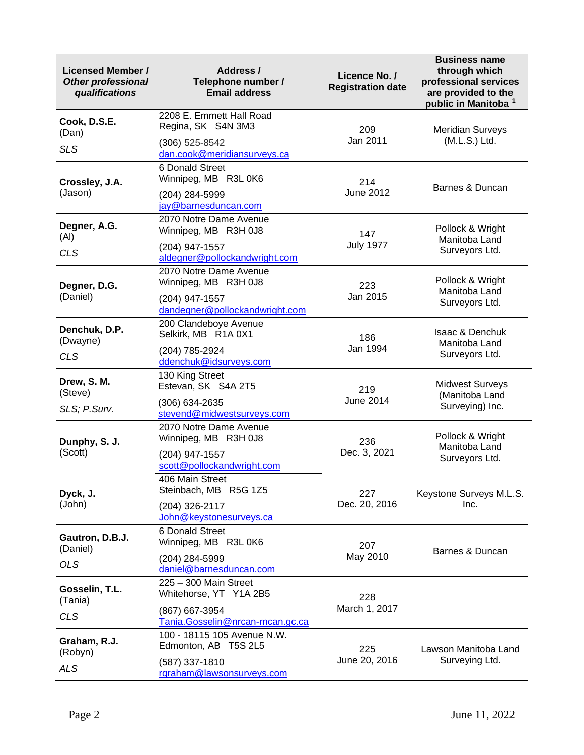| <b>Licensed Member /</b><br><b>Other professional</b><br>qualifications | Address /<br>Telephone number /<br><b>Email address</b> | Licence No. /<br><b>Registration date</b> | <b>Business name</b><br>through which<br>professional services<br>are provided to the<br>public in Manitoba <sup>1</sup> |  |
|-------------------------------------------------------------------------|---------------------------------------------------------|-------------------------------------------|--------------------------------------------------------------------------------------------------------------------------|--|
| Cook, D.S.E.<br>(Dan)                                                   | 2208 E. Emmett Hall Road<br>Regina, SK S4N 3M3          | 209                                       | <b>Meridian Surveys</b>                                                                                                  |  |
| <b>SLS</b>                                                              | (306) 525-8542<br>dan.cook@meridiansurveys.ca           | Jan 2011                                  | (M.L.S.) Ltd.                                                                                                            |  |
| Crossley, J.A.                                                          | 6 Donald Street<br>Winnipeg, MB R3L 0K6                 | 214                                       | Barnes & Duncan                                                                                                          |  |
| (Jason)                                                                 | (204) 284-5999<br>jay@barnesduncan.com                  | <b>June 2012</b>                          |                                                                                                                          |  |
| Degner, A.G.<br>(AI)                                                    | 2070 Notre Dame Avenue<br>Winnipeg, MB R3H 0J8          | 147                                       | Pollock & Wright<br>Manitoba Land                                                                                        |  |
| <b>CLS</b>                                                              | (204) 947-1557<br>aldegner@pollockandwright.com         | <b>July 1977</b>                          | Surveyors Ltd.                                                                                                           |  |
| Degner, D.G.                                                            | 2070 Notre Dame Avenue<br>Winnipeg, MB R3H 0J8          | 223                                       | Pollock & Wright<br>Manitoba Land<br>Surveyors Ltd.                                                                      |  |
| (Daniel)                                                                | (204) 947-1557<br>dandegner@pollockandwright.com        | Jan 2015                                  |                                                                                                                          |  |
| Denchuk, D.P.<br>(Dwayne)                                               | 200 Clandeboye Avenue<br>Selkirk, MB R1A 0X1            | 186                                       | Isaac & Denchuk<br>Manitoba Land                                                                                         |  |
| <b>CLS</b>                                                              | (204) 785-2924<br>ddenchuk@idsurveys.com                | Jan 1994                                  | Surveyors Ltd.                                                                                                           |  |
| Drew, S. M.<br>(Steve)                                                  | 130 King Street<br>Estevan, SK S4A 2T5                  | 219                                       | <b>Midwest Surveys</b><br>(Manitoba Land                                                                                 |  |
| SLS; P.Surv.                                                            | (306) 634-2635<br>stevend@midwestsurveys.com            | <b>June 2014</b>                          | Surveying) Inc.                                                                                                          |  |
| Dunphy, S. J.                                                           | 2070 Notre Dame Avenue<br>Winnipeg, MB R3H 0J8          | 236                                       | Pollock & Wright<br>Manitoba Land                                                                                        |  |
| (Scott)                                                                 | (204) 947-1557<br>scott@pollockandwright.com            | Dec. 3, 2021                              | Surveyors Ltd.                                                                                                           |  |
| Dyck, J.                                                                | 406 Main Street<br>Steinbach, MB R5G 1Z5                | 227                                       | Keystone Surveys M.L.S.                                                                                                  |  |
| (John)                                                                  | (204) 326-2117<br>John@keystonesurveys.ca               | Dec. 20, 2016                             | Inc.                                                                                                                     |  |
| Gautron, D.B.J.<br>(Daniel)                                             | 6 Donald Street<br>Winnipeg, MB R3L 0K6                 | 207                                       | Barnes & Duncan                                                                                                          |  |
| <b>OLS</b>                                                              | (204) 284-5999<br>daniel@barnesduncan.com               | May 2010                                  |                                                                                                                          |  |
| Gosselin, T.L.<br>(Tania)                                               | 225 - 300 Main Street<br>Whitehorse, YT Y1A 2B5         | 228                                       |                                                                                                                          |  |
| <b>CLS</b>                                                              | (867) 667-3954<br>Tania.Gosselin@nrcan-rncan.gc.ca      | March 1, 2017                             |                                                                                                                          |  |
| Graham, R.J.<br>(Robyn)                                                 | 100 - 18115 105 Avenue N.W.<br>Edmonton, AB T5S 2L5     | 225                                       | Lawson Manitoba Land                                                                                                     |  |
| <b>ALS</b>                                                              | (587) 337-1810<br>rgraham@lawsonsurveys.com             | June 20, 2016                             | Surveying Ltd.                                                                                                           |  |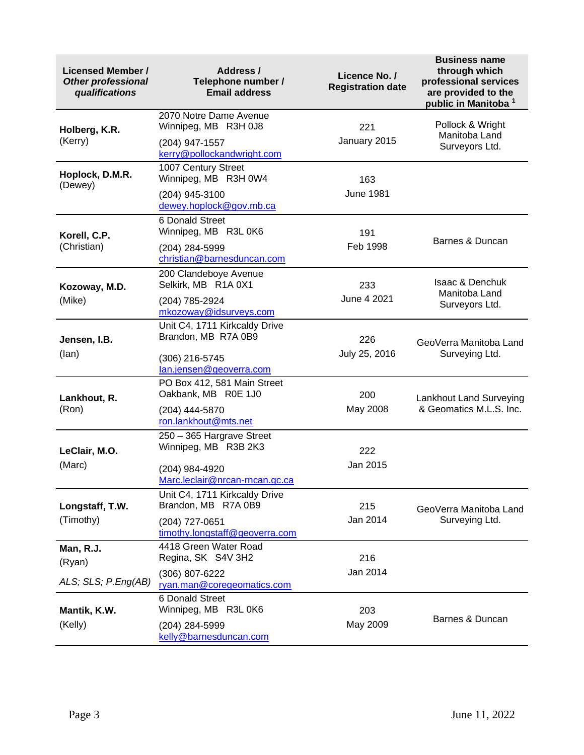| <b>Licensed Member /</b><br><b>Other professional</b><br>qualifications | Address /<br>Telephone number /<br><b>Email address</b>          | Licence No. /<br><b>Registration date</b> | <b>Business name</b><br>through which<br>professional services<br>are provided to the<br>public in Manitoba <sup>1</sup> |  |
|-------------------------------------------------------------------------|------------------------------------------------------------------|-------------------------------------------|--------------------------------------------------------------------------------------------------------------------------|--|
| Holberg, K.R.<br>(Kerry)                                                | 2070 Notre Dame Avenue<br>Winnipeg, MB R3H 0J8<br>(204) 947-1557 | 221<br>January 2015                       | Pollock & Wright<br>Manitoba Land                                                                                        |  |
|                                                                         | kerry@pollockandwright.com                                       |                                           | Surveyors Ltd.                                                                                                           |  |
| Hoplock, D.M.R.<br>(Dewey)                                              | 1007 Century Street<br>Winnipeg, MB R3H 0W4                      | 163                                       |                                                                                                                          |  |
|                                                                         | (204) 945-3100<br>dewey.hoplock@gov.mb.ca                        | <b>June 1981</b>                          |                                                                                                                          |  |
| Korell, C.P.                                                            | 6 Donald Street<br>Winnipeg, MB R3L 0K6                          | 191                                       |                                                                                                                          |  |
| (Christian)                                                             | (204) 284-5999<br>christian@barnesduncan.com                     | Feb 1998                                  | Barnes & Duncan                                                                                                          |  |
| Kozoway, M.D.                                                           | 200 Clandeboye Avenue<br>Selkirk, MB R1A 0X1                     | 233                                       | <b>Isaac &amp; Denchuk</b><br>Manitoba Land                                                                              |  |
| (Mike)                                                                  | (204) 785-2924<br>mkozoway@idsurveys.com                         | June 4 2021                               | Surveyors Ltd.                                                                                                           |  |
| Jensen, I.B.                                                            | Unit C4, 1711 Kirkcaldy Drive<br>Brandon, MB R7A 0B9             | 226                                       | GeoVerra Manitoba Land                                                                                                   |  |
| (lan)                                                                   | (306) 216-5745<br>lan.jensen@geoverra.com                        | July 25, 2016                             | Surveying Ltd.                                                                                                           |  |
| Lankhout, R.                                                            | PO Box 412, 581 Main Street<br>Oakbank, MB R0E 1J0               | 200                                       | Lankhout Land Surveying                                                                                                  |  |
| (Ron)                                                                   | (204) 444-5870<br>ron.lankhout@mts.net                           | May 2008                                  | & Geomatics M.L.S. Inc.                                                                                                  |  |
| LeClair, M.O.                                                           | 250 - 365 Hargrave Street<br>Winnipeg, MB R3B 2K3                | 222                                       |                                                                                                                          |  |
| (Marc)                                                                  | (204) 984-4920<br>Marc.leclair@nrcan-rncan.gc.ca                 | Jan 2015                                  |                                                                                                                          |  |
| Longstaff, T.W.                                                         | Unit C4, 1711 Kirkcaldy Drive<br>Brandon, MB R7A 0B9             | 215                                       | GeoVerra Manitoba Land                                                                                                   |  |
| (Timothy)                                                               | (204) 727-0651<br>timothy.longstaff@geoverra.com                 | Jan 2014                                  | Surveying Ltd.                                                                                                           |  |
| Man, R.J.<br>(Ryan)                                                     | 4418 Green Water Road<br>Regina, SK S4V 3H2                      | 216                                       |                                                                                                                          |  |
| ALS; SLS; P.Eng(AB)                                                     | (306) 807-6222<br>ryan.man@coregeomatics.com                     | Jan 2014                                  |                                                                                                                          |  |
| Mantik, K.W.                                                            | 6 Donald Street<br>Winnipeg, MB R3L 0K6                          | 203                                       |                                                                                                                          |  |
| (Kelly)                                                                 | (204) 284-5999<br>kelly@barnesduncan.com                         | May 2009                                  | Barnes & Duncan                                                                                                          |  |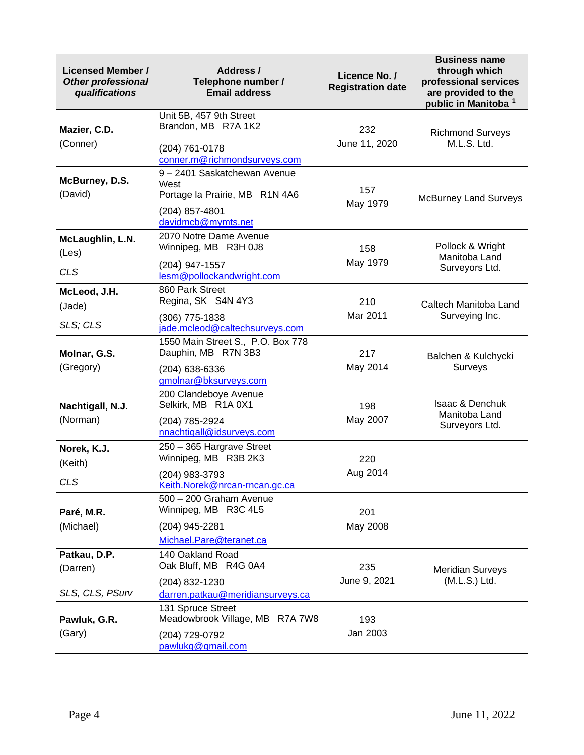| <b>Licensed Member /</b><br><b>Other professional</b><br>qualifications | Address /<br>Telephone number /<br><b>Email address</b>                                                        | Licence No. /<br><b>Registration date</b> | <b>Business name</b><br>through which<br>professional services<br>are provided to the<br>public in Manitoba 1 |
|-------------------------------------------------------------------------|----------------------------------------------------------------------------------------------------------------|-------------------------------------------|---------------------------------------------------------------------------------------------------------------|
| Mazier, C.D.<br>(Conner)                                                | Unit 5B, 457 9th Street<br>Brandon, MB R7A 1K2<br>(204) 761-0178<br>conner.m@richmondsurveys.com               | 232<br>June 11, 2020                      | <b>Richmond Surveys</b><br>M.L.S. Ltd.                                                                        |
| McBurney, D.S.<br>(David)                                               | 9 - 2401 Saskatchewan Avenue<br>West<br>Portage la Prairie, MB R1N 4A6<br>(204) 857-4801<br>davidmcb@mymts.net | 157<br>May 1979                           | <b>McBurney Land Surveys</b>                                                                                  |
| McLaughlin, L.N.<br>(Les)<br><b>CLS</b>                                 | 2070 Notre Dame Avenue<br>Winnipeg, MB R3H 0J8<br>(204) 947-1557<br>lesm@pollockandwright.com                  | 158<br>May 1979                           | Pollock & Wright<br>Manitoba Land<br>Surveyors Ltd.                                                           |
| McLeod, J.H.<br>(Jade)<br>SLS; CLS                                      | 860 Park Street<br>Regina, SK S4N 4Y3<br>(306) 775-1838<br>jade.mcleod@caltechsurveys.com                      | 210<br>Mar 2011                           | Caltech Manitoba Land<br>Surveying Inc.                                                                       |
| Molnar, G.S.<br>(Gregory)                                               | 1550 Main Street S., P.O. Box 778<br>Dauphin, MB R7N 3B3<br>(204) 638-6336<br>gmolnar@bksurveys.com            | 217<br>May 2014                           | Balchen & Kulchycki<br>Surveys                                                                                |
| Nachtigall, N.J.<br>(Norman)                                            | 200 Clandeboye Avenue<br>Selkirk, MB R1A 0X1<br>(204) 785-2924<br>nnachtigall@idsurveys.com                    | 198<br>May 2007                           | <b>Isaac &amp; Denchuk</b><br>Manitoba Land<br>Surveyors Ltd.                                                 |
| Norek, K.J.<br>(Keith)<br><b>CLS</b>                                    | 250 - 365 Hargrave Street<br>Winnipeg, MB R3B 2K3<br>(204) 983-3793<br><u>Keith.Norek@nrcan-rncan.gc.ca</u>    | 220<br>Aug 2014                           |                                                                                                               |
| Paré, M.R.<br>(Michael)                                                 | 500 - 200 Graham Avenue<br>Winnipeg, MB R3C 4L5<br>(204) 945-2281<br>Michael.Pare@teranet.ca                   | 201<br>May 2008                           |                                                                                                               |
| Patkau, D.P.<br>(Darren)<br>SLS, CLS, PSurv                             | 140 Oakland Road<br>Oak Bluff, MB R4G 0A4<br>(204) 832-1230<br>darren.patkau@meridiansurveys.ca                | 235<br>June 9, 2021                       | <b>Meridian Surveys</b><br>(M.L.S.) Ltd.                                                                      |
| Pawluk, G.R.<br>(Gary)                                                  | 131 Spruce Street<br>Meadowbrook Village, MB R7A 7W8<br>(204) 729-0792<br>pawlukg@gmail.com                    | 193<br>Jan 2003                           |                                                                                                               |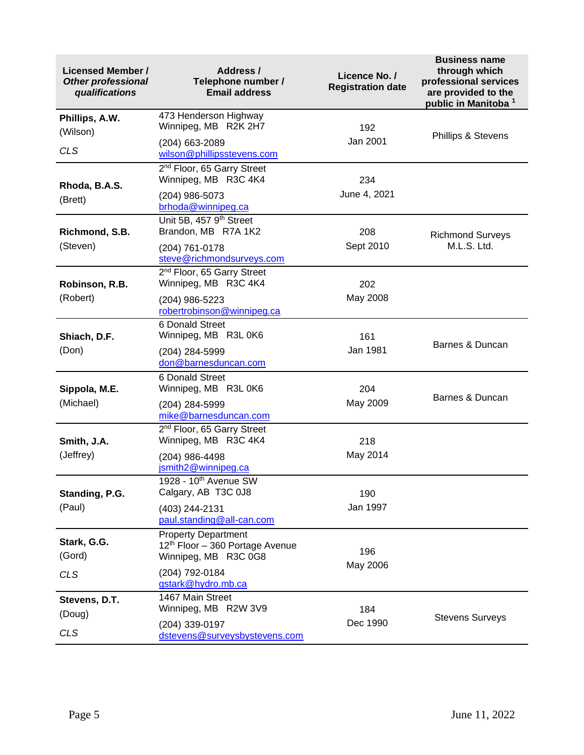| <b>Licensed Member /</b><br><b>Other professional</b><br>qualifications | Address /<br>Telephone number /<br><b>Email address</b>                                           | Licence No. /<br><b>Registration date</b> | <b>Business name</b><br>through which<br>professional services<br>are provided to the<br>public in Manitoba <sup>1</sup> |  |
|-------------------------------------------------------------------------|---------------------------------------------------------------------------------------------------|-------------------------------------------|--------------------------------------------------------------------------------------------------------------------------|--|
| Phillips, A.W.<br>(Wilson)                                              | 473 Henderson Highway<br>Winnipeg, MB R2K 2H7                                                     | 192                                       | <b>Phillips &amp; Stevens</b>                                                                                            |  |
| <b>CLS</b>                                                              | (204) 663-2089<br>wilson@phillipsstevens.com                                                      | Jan 2001                                  |                                                                                                                          |  |
| Rhoda, B.A.S.                                                           | 2 <sup>nd</sup> Floor, 65 Garry Street<br>Winnipeg, MB R3C 4K4                                    | 234                                       |                                                                                                                          |  |
| (Brett)                                                                 | (204) 986-5073<br>brhoda@winnipeg.ca                                                              | June 4, 2021                              |                                                                                                                          |  |
| Richmond, S.B.                                                          | Unit 5B, 457 9 <sup>th</sup> Street<br>Brandon, MB R7A 1K2                                        | 208                                       | <b>Richmond Surveys</b>                                                                                                  |  |
| (Steven)                                                                | (204) 761-0178<br>steve@richmondsurveys.com                                                       | Sept 2010                                 | M.L.S. Ltd.                                                                                                              |  |
| Robinson, R.B.                                                          | 2 <sup>nd</sup> Floor, 65 Garry Street<br>Winnipeg, MB R3C 4K4                                    | 202                                       |                                                                                                                          |  |
| (Robert)                                                                | (204) 986-5223<br>robertrobinson@winnipeg.ca                                                      | May 2008                                  |                                                                                                                          |  |
| Shiach, D.F.                                                            | 6 Donald Street<br>Winnipeg, MB R3L 0K6                                                           | 161                                       | Barnes & Duncan                                                                                                          |  |
| (Don)                                                                   | (204) 284-5999<br>don@barnesduncan.com                                                            | Jan 1981                                  |                                                                                                                          |  |
| Sippola, M.E.                                                           | 6 Donald Street<br>Winnipeg, MB R3L 0K6                                                           | 204                                       | Barnes & Duncan                                                                                                          |  |
| (Michael)                                                               | (204) 284-5999<br>mike@barnesduncan.com                                                           | May 2009                                  |                                                                                                                          |  |
| Smith, J.A.                                                             | 2 <sup>nd</sup> Floor, 65 Garry Street<br>Winnipeg, MB R3C 4K4                                    | 218                                       |                                                                                                                          |  |
| (Jeffrey)                                                               | (204) 986-4498<br>jsmith2@winnipeg.ca                                                             | May 2014                                  |                                                                                                                          |  |
| Standing, P.G.                                                          | 1928 - 10 <sup>th</sup> Avenue SW<br>Calgary, AB T3C 0J8                                          | 190                                       |                                                                                                                          |  |
| (Paul)                                                                  | (403) 244-2131<br>paul.standing@all-can.com                                                       | Jan 1997                                  |                                                                                                                          |  |
| Stark, G.G.<br>(Gord)                                                   | <b>Property Department</b><br>12 <sup>th</sup> Floor - 360 Portage Avenue<br>Winnipeg, MB R3C 0G8 | 196                                       |                                                                                                                          |  |
| <b>CLS</b>                                                              | (204) 792-0184<br>gstark@hydro.mb.ca                                                              | May 2006                                  |                                                                                                                          |  |
| Stevens, D.T.<br>(Doug)                                                 | 1467 Main Street<br>Winnipeg, MB R2W 3V9                                                          | 184                                       |                                                                                                                          |  |
| <b>CLS</b>                                                              | (204) 339-0197<br>dstevens@surveysbystevens.com                                                   | Dec 1990                                  | <b>Stevens Surveys</b>                                                                                                   |  |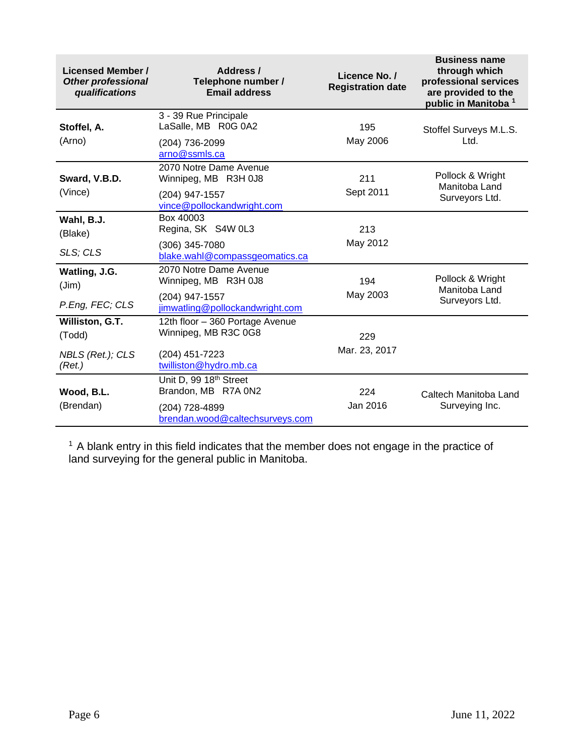| <b>Licensed Member /</b><br><b>Other professional</b><br>qualifications | Address /<br>Telephone number /<br><b>Email address</b>        | Licence No. /<br><b>Registration date</b> | <b>Business name</b><br>through which<br>professional services<br>are provided to the<br>public in Manitoba <sup>1</sup> |  |
|-------------------------------------------------------------------------|----------------------------------------------------------------|-------------------------------------------|--------------------------------------------------------------------------------------------------------------------------|--|
| Stoffel, A.<br>(Arno)                                                   | 3 - 39 Rue Principale<br>LaSalle, MB R0G 0A2<br>(204) 736-2099 | 195<br>May 2006                           | Stoffel Surveys M.L.S.<br>Ltd.                                                                                           |  |
|                                                                         | arno@ssmls.ca                                                  |                                           |                                                                                                                          |  |
| Sward, V.B.D.                                                           | 2070 Notre Dame Avenue<br>Winnipeg, MB R3H 0J8                 | 211                                       | Pollock & Wright<br>Manitoba Land                                                                                        |  |
| (Vince)                                                                 | (204) 947-1557<br>vince@pollockandwright.com                   | Sept 2011                                 | Surveyors Ltd.                                                                                                           |  |
| Wahl, B.J.<br>(Blake)                                                   | Box 40003<br>Regina, SK S4W 0L3                                | 213                                       |                                                                                                                          |  |
| SLS; CLS                                                                | (306) 345-7080<br>blake.wahl@compassgeomatics.ca               | May 2012                                  |                                                                                                                          |  |
| Watling, J.G.<br>(Jim)                                                  | 2070 Notre Dame Avenue<br>Winnipeg, MB R3H 0J8                 | 194                                       | Pollock & Wright                                                                                                         |  |
| P.Eng, FEC; CLS                                                         | (204) 947-1557<br>jimwatling@pollockandwright.com              | May 2003                                  | Manitoba Land<br>Surveyors Ltd.                                                                                          |  |
| Williston, G.T.<br>(Todd)                                               | 12th floor - 360 Portage Avenue<br>Winnipeg, MB R3C 0G8        | 229                                       |                                                                                                                          |  |
| NBLS (Ret.); CLS<br>(Ret.)                                              | (204) 451-7223<br>twilliston@hydro.mb.ca                       | Mar. 23, 2017                             |                                                                                                                          |  |
| Wood, B.L.                                                              | Unit D, 99 18 <sup>th</sup> Street<br>Brandon, MB R7A 0N2      | 224                                       | Caltech Manitoba Land                                                                                                    |  |
| (Brendan)                                                               | (204) 728-4899<br>brendan.wood@caltechsurveys.com              | Jan 2016                                  | Surveying Inc.                                                                                                           |  |

 $1$  A blank entry in this field indicates that the member does not engage in the practice of land surveying for the general public in Manitoba.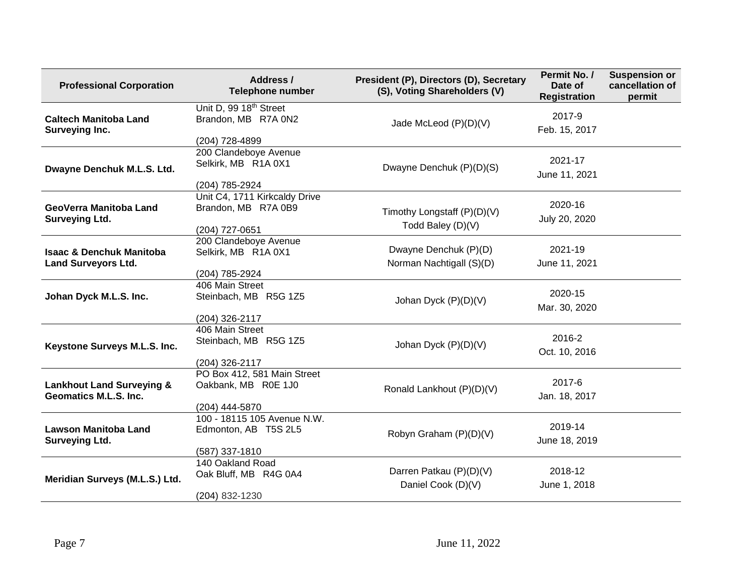| <b>Professional Corporation</b>                                      | Address /<br><b>Telephone number</b>                      | President (P), Directors (D), Secretary<br>(S), Voting Shareholders (V) | Permit No. /<br>Date of<br><b>Registration</b> | <b>Suspension or</b><br>cancellation of<br>permit |
|----------------------------------------------------------------------|-----------------------------------------------------------|-------------------------------------------------------------------------|------------------------------------------------|---------------------------------------------------|
| <b>Caltech Manitoba Land</b><br>Surveying Inc.                       | Unit D, 99 18 <sup>th</sup> Street<br>Brandon, MB R7A 0N2 | Jade McLeod (P)(D)(V)                                                   | 2017-9<br>Feb. 15, 2017                        |                                                   |
|                                                                      | (204) 728-4899                                            |                                                                         |                                                |                                                   |
| Dwayne Denchuk M.L.S. Ltd.                                           | 200 Clandeboye Avenue<br>Selkirk, MB R1A 0X1              | Dwayne Denchuk (P)(D)(S)                                                | 2021-17<br>June 11, 2021                       |                                                   |
|                                                                      | (204) 785-2924                                            |                                                                         |                                                |                                                   |
| GeoVerra Manitoba Land<br><b>Surveying Ltd.</b>                      | Unit C4, 1711 Kirkcaldy Drive<br>Brandon, MB R7A 0B9      | Timothy Longstaff (P)(D)(V)<br>Todd Baley (D)(V)                        | 2020-16<br>July 20, 2020                       |                                                   |
|                                                                      | (204) 727-0651<br>200 Clandeboye Avenue                   |                                                                         |                                                |                                                   |
| <b>Isaac &amp; Denchuk Manitoba</b><br><b>Land Surveyors Ltd.</b>    | Selkirk, MB R1A 0X1                                       | Dwayne Denchuk (P)(D)<br>Norman Nachtigall (S)(D)                       | 2021-19<br>June 11, 2021                       |                                                   |
|                                                                      | (204) 785-2924                                            |                                                                         |                                                |                                                   |
| Johan Dyck M.L.S. Inc.                                               | 406 Main Street<br>Steinbach, MB R5G 1Z5                  | Johan Dyck (P)(D)(V)                                                    | 2020-15<br>Mar. 30, 2020                       |                                                   |
|                                                                      | (204) 326-2117                                            |                                                                         |                                                |                                                   |
| Keystone Surveys M.L.S. Inc.                                         | 406 Main Street<br>Steinbach, MB R5G 1Z5                  | Johan Dyck (P)(D)(V)                                                    | 2016-2<br>Oct. 10, 2016                        |                                                   |
|                                                                      | (204) 326-2117                                            |                                                                         |                                                |                                                   |
| <b>Lankhout Land Surveying &amp;</b><br><b>Geomatics M.L.S. Inc.</b> | PO Box 412, 581 Main Street<br>Oakbank, MB R0E 1J0        | Ronald Lankhout (P)(D)(V)                                               | 2017-6<br>Jan. 18, 2017                        |                                                   |
|                                                                      | (204) 444-5870                                            |                                                                         |                                                |                                                   |
| <b>Lawson Manitoba Land</b><br><b>Surveying Ltd.</b>                 | 100 - 18115 105 Avenue N.W.<br>Edmonton, AB T5S 2L5       | Robyn Graham (P)(D)(V)                                                  | 2019-14<br>June 18, 2019                       |                                                   |
|                                                                      | (587) 337-1810                                            |                                                                         |                                                |                                                   |
| Meridian Surveys (M.L.S.) Ltd.                                       | 140 Oakland Road<br>Oak Bluff, MB R4G 0A4                 | Darren Patkau (P)(D)(V)<br>Daniel Cook (D)(V)                           | 2018-12<br>June 1, 2018                        |                                                   |
|                                                                      | (204) 832-1230                                            |                                                                         |                                                |                                                   |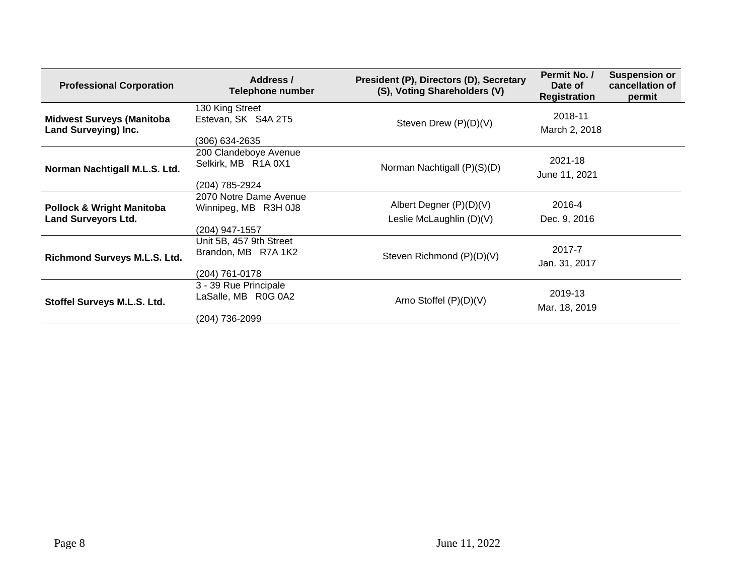| <b>Professional Corporation</b>                                    | Address /<br><b>Telephone number</b>                             | President (P), Directors (D), Secretary<br>(S), Voting Shareholders (V) | Permit No. /<br>Date of<br><b>Registration</b> | <b>Suspension or</b><br>cancellation of<br>permit |
|--------------------------------------------------------------------|------------------------------------------------------------------|-------------------------------------------------------------------------|------------------------------------------------|---------------------------------------------------|
| <b>Midwest Surveys (Manitoba</b><br><b>Land Surveying) Inc.</b>    | 130 King Street<br>Estevan, SK S4A 2T5<br>(306) 634-2635         | Steven Drew (P)(D)(V)                                                   | 2018-11<br>March 2, 2018                       |                                                   |
| Norman Nachtigall M.L.S. Ltd.                                      | 200 Clandeboye Avenue<br>Selkirk, MB R1A 0X1<br>(204) 785-2924   | Norman Nachtigall (P)(S)(D)                                             | 2021-18<br>June 11, 2021                       |                                                   |
| <b>Pollock &amp; Wright Manitoba</b><br><b>Land Surveyors Ltd.</b> | 2070 Notre Dame Avenue<br>Winnipeg, MB R3H 0J8<br>(204) 947-1557 | Albert Degner (P)(D)(V)<br>Leslie McLaughlin (D)(V)                     | 2016-4<br>Dec. 9, 2016                         |                                                   |
| Richmond Surveys M.L.S. Ltd.                                       | Unit 5B, 457 9th Street<br>Brandon, MB R7A 1K2<br>(204) 761-0178 | Steven Richmond (P)(D)(V)                                               | 2017-7<br>Jan. 31, 2017                        |                                                   |
| Stoffel Surveys M.L.S. Ltd.                                        | 3 - 39 Rue Principale<br>LaSalle, MB R0G 0A2<br>(204) 736-2099   | Arno Stoffel $(P)(D)(V)$                                                | 2019-13<br>Mar. 18, 2019                       |                                                   |